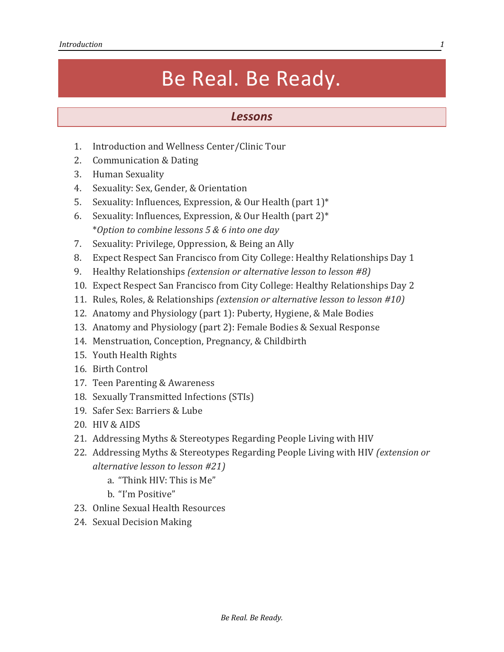## Be Real. Be Ready.

## *Lessons*

- 1. Introduction and Wellness Center/Clinic Tour
- 2. Communication & Dating
- 3. Human Sexuality
- 4. Sexuality: Sex, Gender, & Orientation
- 5. Sexuality: Influences, Expression, & Our Health (part 1)\*
- 6. Sexuality: Influences, Expression, & Our Health (part 2)\* \**Option to combine lessons 5 & 6 into one day*
- 7. Sexuality: Privilege, Oppression, & Being an Ally
- 8. Expect Respect San Francisco from City College: Healthy Relationships Day 1
- 9. Healthy Relationships *(extension or alternative lesson to lesson #8)*
- 10. Expect Respect San Francisco from City College: Healthy Relationships Day 2
- 11. Rules, Roles, & Relationships *(extension or alternative lesson to lesson #10)*
- 12. Anatomy and Physiology (part 1): Puberty, Hygiene, & Male Bodies
- 13. Anatomy and Physiology (part 2): Female Bodies & Sexual Response
- 14. Menstruation, Conception, Pregnancy, & Childbirth
- 15. Youth Health Rights
- 16. Birth Control
- 17. Teen Parenting & Awareness
- 18. Sexually Transmitted Infections (STIs)
- 19. Safer Sex: Barriers & Lube
- 20. HIV & AIDS
- 21. Addressing Myths & Stereotypes Regarding People Living with HIV
- 22. Addressing Myths & Stereotypes Regarding People Living with HIV *(extension or alternative lesson to lesson #21)*
	- a. "Think HIV: This is Me"
	- b. "I'm Positive"
- 23. Online Sexual Health Resources
- 24. Sexual Decision Making